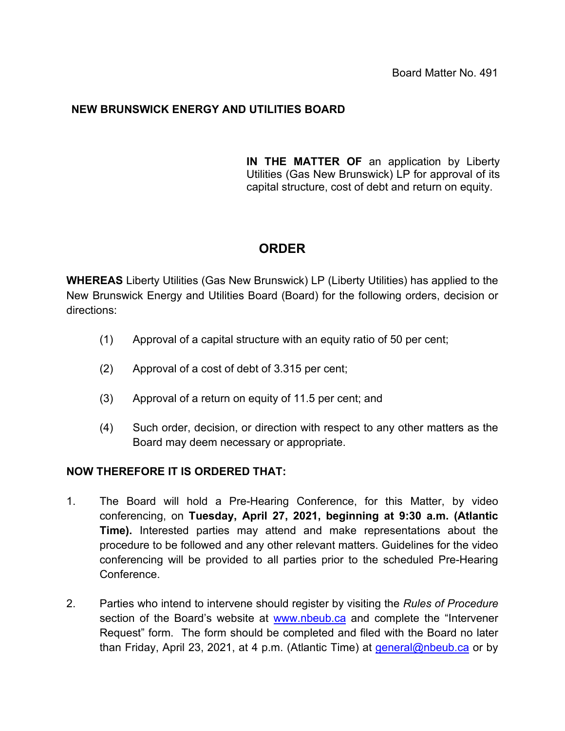## **NEW BRUNSWICK ENERGY AND UTILITIES BOARD**

**IN THE MATTER OF** an application by Liberty Utilities (Gas New Brunswick) LP for approval of its capital structure, cost of debt and return on equity.

## **ORDER**

**WHEREAS** Liberty Utilities (Gas New Brunswick) LP (Liberty Utilities) has applied to the New Brunswick Energy and Utilities Board (Board) for the following orders, decision or directions:

- (1) Approval of a capital structure with an equity ratio of 50 per cent;
- (2) Approval of a cost of debt of 3.315 per cent;
- (3) Approval of a return on equity of 11.5 per cent; and
- (4) Such order, decision, or direction with respect to any other matters as the Board may deem necessary or appropriate.

## **NOW THEREFORE IT IS ORDERED THAT:**

- 1. The Board will hold a Pre-Hearing Conference, for this Matter, by video conferencing, on **Tuesday, April 27, 2021, beginning at 9:30 a.m. (Atlantic Time).** Interested parties may attend and make representations about the procedure to be followed and any other relevant matters. Guidelines for the video conferencing will be provided to all parties prior to the scheduled Pre-Hearing Conference.
- 2. Parties who intend to intervene should register by visiting the *Rules of Procedure*  section of the Board's website at [www.nbeub.ca](http://www.nbeub.ca/) and complete the "Intervener Request" form. The form should be completed and filed with the Board no later than Friday, April 23, 2021, at 4 p.m. (Atlantic Time) at [general@nbeub.ca](mailto:general@nbeub.ca) or by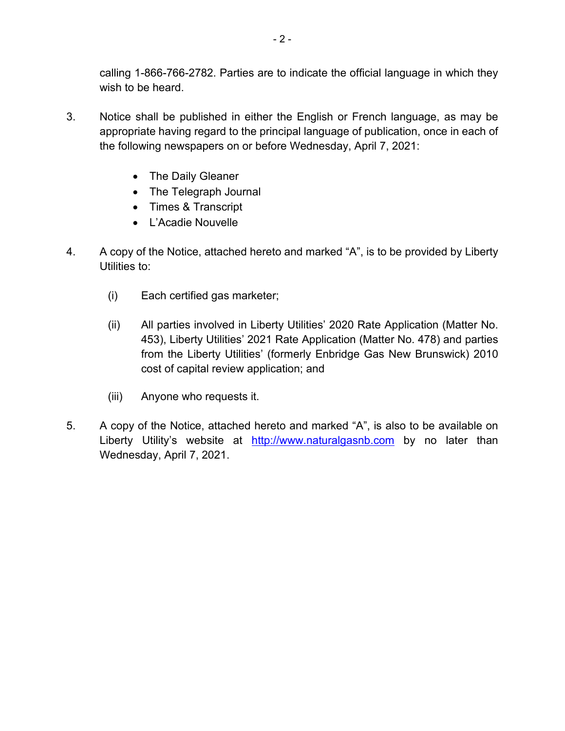calling 1-866-766-2782. Parties are to indicate the official language in which they wish to be heard.

- 3. Notice shall be published in either the English or French language, as may be appropriate having regard to the principal language of publication, once in each of the following newspapers on or before Wednesday, April 7, 2021:
	- The Daily Gleaner
	- The Telegraph Journal
	- Times & Transcript
	- L'Acadie Nouvelle
- 4. A copy of the Notice, attached hereto and marked "A", is to be provided by Liberty Utilities to:
	- (i) Each certified gas marketer;
	- (ii) All parties involved in Liberty Utilities' 2020 Rate Application (Matter No. 453), Liberty Utilities' 2021 Rate Application (Matter No. 478) and parties from the Liberty Utilities' (formerly Enbridge Gas New Brunswick) 2010 cost of capital review application; and
	- (iii) Anyone who requests it.
- 5. A copy of the Notice, attached hereto and marked "A", is also to be available on Liberty Utility's website at [http://www.naturalgasnb.com](http://www.naturalgasnb.com/) by no later than Wednesday, April 7, 2021.